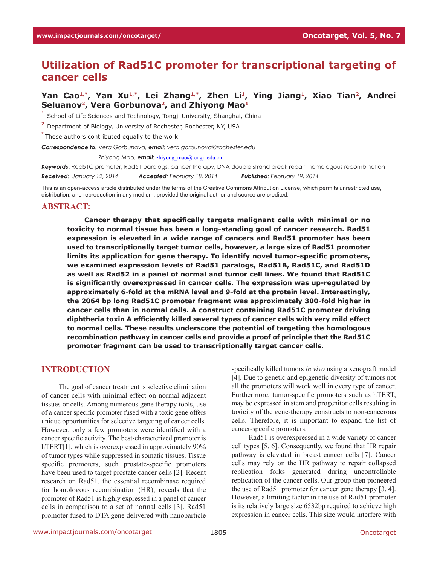# **Utilization of Rad51C promoter for transcriptional targeting of cancer cells**

# Yan Cao<sup>1,\*</sup>, Yan Xu<sup>1,\*</sup>, Lei Zhang<sup>1,\*</sup>, Zhen Li<sup>1</sup>, Ying Jiang<sup>1</sup>, Xiao Tian<sup>2</sup>, Andrei Seluanov<sup>2</sup>, Vera Gorbunova<sup>2</sup>, and Zhiyong Mao<sup>1</sup>

**1.** School of Life Sciences and Technology, Tongji University, Shanghai, China

**2.** Department of Biology, University of Rochester, Rochester, NY, USA

**\*** These authors contributed equally to the work

*Correspondence to: Vera Gorbunova, email: vera.gorbunova@rochester.edu*

*Correspondence to: Zhiyong Mao, email:* zhiyong\_mao@tongji.edu.cn

*Keywords*: Rad51C promoter, Rad51 paralogs, cancer therapy, DNA double strand break repair, homologous recombination *Received: January 12, 2014 Accepted: February 18, 2014 Published: February 19, 2014*

This is an open-access article distributed under the terms of the Creative Commons Attribution License, which permits unrestricted use, distribution, and reproduction in any medium, provided the original author and source are credited.

#### **ABSTRACT:**

**Cancer therapy that specifically targets malignant cells with minimal or no toxicity to normal tissue has been a long-standing goal of cancer research. Rad51 expression is elevated in a wide range of cancers and Rad51 promoter has been used to transcriptionally target tumor cells, however, a large size of Rad51 promoter limits its application for gene therapy. To identify novel tumor-specific promoters, we examined expression levels of Rad51 paralogs, Rad51B, Rad51C, and Rad51D as well as Rad52 in a panel of normal and tumor cell lines. We found that Rad51C is significantly overexpressed in cancer cells. The expression was up-regulated by approximately 6-fold at the mRNA level and 9-fold at the protein level. Interestingly, the 2064 bp long Rad51C promoter fragment was approximately 300-fold higher in cancer cells than in normal cells. A construct containing Rad51C promoter driving diphtheria toxin A efficiently killed several types of cancer cells with very mild effect to normal cells. These results underscore the potential of targeting the homologous recombination pathway in cancer cells and provide a proof of principle that the Rad51C promoter fragment can be used to transcriptionally target cancer cells.** 

### **INTRODUCTION**

The goal of cancer treatment is selective elimination of cancer cells with minimal effect on normal adjacent tissues or cells. Among numerous gene therapy tools, use of a cancer specific promoter fused with a toxic gene offers unique opportunities for selective targeting of cancer cells. However, only a few promoters were identified with a cancer specific activity. The best-characterized promoter is hTERT[1], which is overexpressed in approximately 90% of tumor types while suppressed in somatic tissues. Tissue specific promoters, such prostate-specific promoters have been used to target prostate cancer cells [2]. Recent research on Rad51, the essential recombinase required for homologous recombination (HR), reveals that the promoter of Rad51 is highly expressed in a panel of cancer cells in comparison to a set of normal cells [3]. Rad51 promoter fused to DTA gene delivered with nanoparticle

specifically killed tumors *in vivo* using a xenograft model [4]. Due to genetic and epigenetic diversity of tumors not all the promoters will work well in every type of cancer. Furthermore, tumor-specific promoters such as hTERT, may be expressed in stem and progenitor cells resulting in toxicity of the gene-therapy constructs to non-cancerous cells. Therefore, it is important to expand the list of cancer-specific promoters.

Rad51 is overexpressed in a wide variety of cancer cell types [5, 6]. Consequently, we found that HR repair pathway is elevated in breast cancer cells [7]. Cancer cells may rely on the HR pathway to repair collapsed replication forks generated during uncontrollable replication of the cancer cells. Our group then pioneered the use of Rad51 promoter for cancer gene therapy [3, 4]. However, a limiting factor in the use of Rad51 promoter is its relatively large size 6532bp required to achieve high expression in cancer cells. This size would interfere with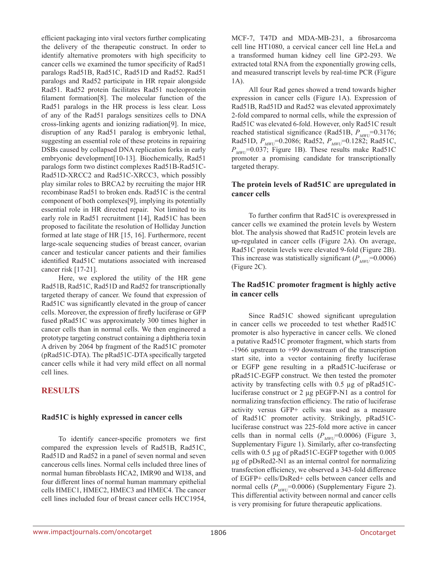efficient packaging into viral vectors further complicating the delivery of the therapeutic construct. In order to identify alternative promoters with high specificity to cancer cells we examined the tumor specificity of Rad51 paralogs Rad51B, Rad51C, Rad51D and Rad52. Rad51 paralogs and Rad52 participate in HR repair alongside Rad51. Rad52 protein facilitates Rad51 nucleoprotein filament formation[8]. The molecular function of the Rad51 paralogs in the HR process is less clear. Loss of any of the Rad51 paralogs sensitizes cells to DNA cross-linking agents and ionizing radiation[9]. In mice, disruption of any Rad51 paralog is embryonic lethal, suggesting an essential role of these proteins in repairing DSBs caused by collapsed DNA replication forks in early embryonic development[10-13]. Biochemically, Rad51 paralogs form two distinct complexes Rad51B-Rad51C-Rad51D-XRCC2 and Rad51C-XRCC3, which possibly play similar roles to BRCA2 by recruiting the major HR recombinase Rad51 to broken ends. Rad51C is the central component of both complexes[9], implying its potentially essential role in HR directed repair. Not limited to its early role in Rad51 recruitment [14], Rad51C has been proposed to facilitate the resolution of Holliday Junction formed at late stage of HR [15, 16]. Furthermore, recent large-scale sequencing studies of breast cancer, ovarian cancer and testicular cancer patients and their families identified Rad51C mutations associated with increased cancer risk [17-21].

Here, we explored the utility of the HR gene Rad51B, Rad51C, Rad51D and Rad52 for transcriptionally targeted therapy of cancer. We found that expression of Rad51C was significantly elevated in the group of cancer cells. Moreover, the expression of firefly luciferase or GFP fused pRad51C was approximately 300 times higher in cancer cells than in normal cells. We then engineered a prototype targeting construct containing a diphtheria toxin A driven by 2064 bp fragment of the Rad51C promoter (pRad51C-DTA). The pRad51C-DTA specifically targeted cancer cells while it had very mild effect on all normal cell lines.

# **RESULTS**

### **Rad51C is highly expressed in cancer cells**

To identify cancer-specific promoters we first compared the expression levels of Rad51B, Rad51C, Rad51D and Rad52 in a panel of seven normal and seven cancerous cells lines. Normal cells included three lines of normal human fibroblasts HCA2, IMR90 and WI38, and four different lines of normal human mammary epithelial cells HMEC1, HMEC2, HMEC3 and HMEC4. The cancer cell lines included four of breast cancer cells HCC1954, MCF-7, T47D and MDA-MB-231, a fibrosarcoma cell line HT1080, a cervical cancer cell line HeLa and a transformed human kidney cell line GP2-293. We extracted total RNA from the exponentially growing cells, and measured transcript levels by real-time PCR (Figure 1A).

All four Rad genes showed a trend towards higher expression in cancer cells (Figure 1A). Expression of Rad51B, Rad51D and Rad52 was elevated approximately 2-fold compared to normal cells, while the expression of Rad51C was elevated 6-fold. However, only Rad51C result reached statistical significance (Rad51B,  $P_{MWI}$ =0.3176; Rad51D,  $P_{MWU}$ =0.2086; Rad52,  $P_{MWU}$ =0.1282; Rad51C,  $P_{MWL}$ =0.037; Figure 1B). These results make Rad51C promoter a promising candidate for transcriptionally targeted therapy.

#### **The protein levels of Rad51C are upregulated in cancer cells**

To further confirm that Rad51C is overexpressed in cancer cells we examined the protein levels by Western blot. The analysis showed that Rad51C protein levels are up-regulated in cancer cells (Figure 2A). On average, Rad51C protein levels were elevated 9-fold (Figure 2B). This increase was statistically significant ( $P_{MWI}$ =0.0006) (Figure 2C).

### **The Rad51C promoter fragment is highly active in cancer cells**

Since Rad51C showed significant upregulation in cancer cells we proceeded to test whether Rad51C promoter is also hyperactive in cancer cells. We cloned a putative Rad51C promoter fragment, which starts from -1966 upstream to +99 downstream of the transcription start site, into a vector containing firefly luciferase or EGFP gene resulting in a pRad51C-luciferase or pRad51C-EGFP construct. We then tested the promoter activity by transfecting cells with 0.5 µg of pRad51Cluciferase construct or 2 µg pEGFP-N1 as a control for normalizing transfection efficiency. The ratio of luciferase activity versus GFP+ cells was used as a measure of Rad51C promoter activity. Strikingly, pRad51Cluciferase construct was 225-fold more active in cancer cells than in normal cells  $(P_{MWC}=0.0006)$  (Figure 3, Supplementary Figure 1). Similarly, after co-transfecting cells with 0.5 µg of pRad51C-EGFP together with 0.005 µg of pDsRed2-N1 as an internal control for normalizing transfection efficiency, we observed a 343-fold difference of EGFP+ cells/DsRed+ cells between cancer cells and normal cells  $(P_{MWU}=0.0006)$  (Supplementary Figure 2). This differential activity between normal and cancer cells is very promising for future therapeutic applications.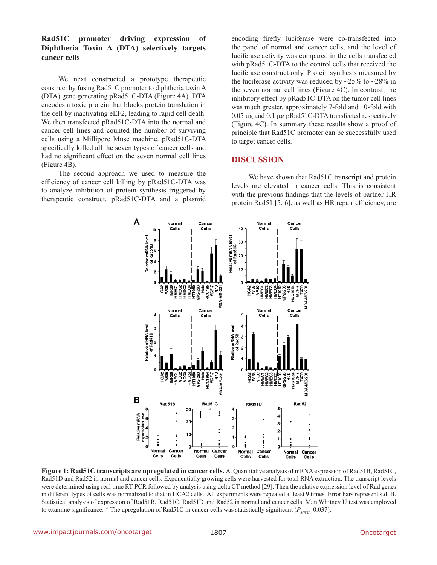## **Rad51C promoter driving expression of Diphtheria Toxin A (DTA) selectively targets cancer cells**

We next constructed a prototype therapeutic construct by fusing Rad51C promoter to diphtheria toxin A (DTA) gene generating pRad51C-DTA (Figure 4A). DTA encodes a toxic protein that blocks protein translation in the cell by inactivating eEF2, leading to rapid cell death. We then transfected pRad51C-DTA into the normal and cancer cell lines and counted the number of surviving cells using a Millipore Muse machine. pRad51C-DTA specifically killed all the seven types of cancer cells and had no significant effect on the seven normal cell lines (Figure 4B).

The second approach we used to measure the efficiency of cancer cell killing by pRad51C-DTA was to analyze inhibition of protein synthesis triggered by therapeutic construct. pRad51C-DTA and a plasmid encoding firefly luciferase were co-transfected into the panel of normal and cancer cells, and the level of luciferase activity was compared in the cells transfected with pRad51C-DTA to the control cells that received the luciferase construct only. Protein synthesis measured by the luciferase activity was reduced by  $\approx 25\%$  to  $\approx 28\%$  in the seven normal cell lines (Figure 4C). In contrast, the inhibitory effect by pRad51C-DTA on the tumor cell lines was much greater, approximately 7-fold and 10-fold with 0.05 µg and 0.1 µg pRad51C-DTA transfected respectively (Figure 4C). In summary these results show a proof of principle that Rad51C promoter can be successfully used to target cancer cells.

# **DISCUSSION**

We have shown that Rad51C transcript and protein levels are elevated in cancer cells. This is consistent with the previous findings that the levels of partner HR protein Rad51 [5, 6], as well as HR repair efficiency, are



**Figure 1: Rad51C transcripts are upregulated in cancer cells.** A. Quantitative analysis of mRNA expression of Rad51B, Rad51C, Rad51D and Rad52 in normal and cancer cells. Exponentially growing cells were harvested for total RNA extraction. The transcript levels were determined using real time RT-PCR followed by analysis using delta CT method [29]. Then the relative expression level of Rad genes in different types of cells was normalized to that in HCA2 cells. All experiments were repeated at least 9 times. Error bars represent s.d. B. Statistical analysis of expression of Rad51B, Rad51C, Rad51D and Rad52 in normal and cancer cells. Man Whitney U test was employed to examine significance. \* The upregulation of Rad51C in cancer cells was statistically significant ( $P_{MWI}$ =0.037).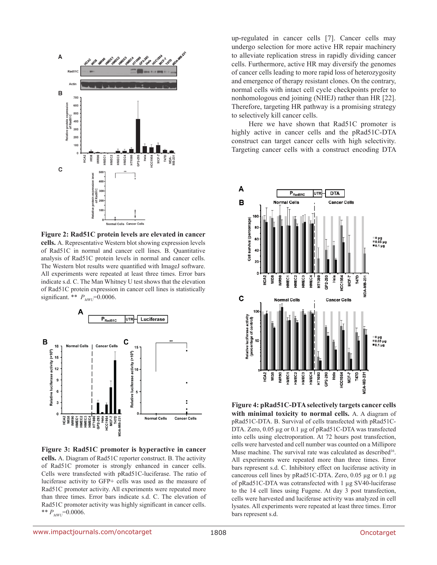

**Figure 2: Rad51C protein levels are elevated in cancer cells.** A. Representative Western blot showing expression levels of Rad51C in normal and cancer cell lines. B. Quantitative analysis of Rad51C protein levels in normal and cancer cells. The Western blot results were quantified with ImageJ software. All experiments were repeated at least three times. Error bars indicate s.d. C. The Man Whitney U test shows that the elevation of Rad51C protein expression in cancer cell lines is statistically significant. \*\*  $P_{MWD}$ =0.0006.



**Figure 3: Rad51C promoter is hyperactive in cancer cells.** A. Diagram of Rad51C reporter construct. B. The activity of Rad51C promoter is strongly enhanced in cancer cells. Cells were transfected with pRad51C-luciferase. The ratio of luciferase activity to GFP+ cells was used as the measure of Rad51C promoter activity. All experiments were repeated more than three times. Error bars indicate s.d. C. The elevation of Rad51C promoter activity was highly significant in cancer cells. \*\*  $P_{MWU}$ =0.0006.

up-regulated in cancer cells [7]. Cancer cells may undergo selection for more active HR repair machinery to alleviate replication stress in rapidly dividing cancer cells. Furthermore, active HR may diversify the genomes of cancer cells leading to more rapid loss of heterozygosity and emergence of therapy resistant clones. On the contrary, normal cells with intact cell cycle checkpoints prefer to nonhomologous end joining (NHEJ) rather than HR [22]. Therefore, targeting HR pathway is a promising strategy to selectively kill cancer cells.

Here we have shown that Rad51C promoter is highly active in cancer cells and the pRad51C-DTA construct can target cancer cells with high selectivity. Targeting cancer cells with a construct encoding DTA



**Figure 4: pRad51C-DTA selectively targets cancer cells with minimal toxicity to normal cells.** A. A diagram of pRad51C-DTA. B. Survival of cells transfected with pRad51C-DTA. Zero, 0.05 µg or 0.1 µg of pRad51C-DTA was transfected into cells using electroporation. At 72 hours post transfection, cells were harvested and cell number was counted on a Millipore Muse machine. The survival rate was calculated as described<sup>16</sup>. All experiments were repeated more than three times. Error bars represent s.d. C. Inhibitory effect on luciferase activity in cancerous cell lines by pRad51C-DTA. Zero, 0.05 µg or 0.1 µg of pRad51C-DTA was cotransfected with 1 µg SV40-luciferase to the 14 cell lines using Fugene. At day 3 post transfection, cells were harvested and luciferase activity was analyzed in cell lysates. All experiments were repeated at least three times. Error bars represent s.d.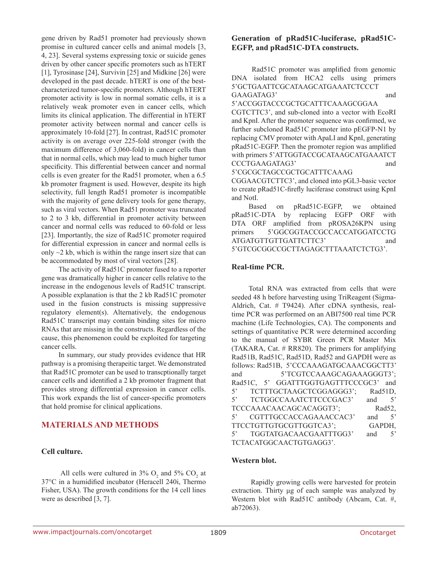gene driven by Rad51 promoter had previously shown promise in cultured cancer cells and animal models [3, 4, 23]. Several systems expressing toxic or suicide genes driven by other cancer specific promoters such as hTERT [1], Tyrosinase [24], Survivin [25] and Midkine [26] were developed in the past decade. hTERT is one of the bestcharacterized tumor-specific promoters. Although hTERT promoter activity is low in normal somatic cells, it is a relatively weak promoter even in cancer cells, which limits its clinical application. The differential in hTERT promoter activity between normal and cancer cells is approximately 10-fold [27]. In contrast, Rad51C promoter activity is on average over 225-fold stronger (with the maximum difference of 3,060-fold) in cancer cells than that in normal cells, which may lead to much higher tumor specificity. This differential between cancer and normal cells is even greater for the Rad51 promoter, when a 6.5 kb promoter fragment is used. However, despite its high selectivity, full length Rad51 promoter is incompatible with the majority of gene delivery tools for gene therapy, such as viral vectors. When Rad51 promoter was truncated to 2 to 3 kb, differential in promoter activity between cancer and normal cells was reduced to 60-fold or less [23]. Importantly, the size of Rad51C promoter required for differential expression in cancer and normal cells is only  $\sim$ 2 kb, which is within the range insert size that can be accommodated by most of viral vectors [28].

The activity of Rad51C promoter fused to a reporter gene was dramatically higher in cancer cells relative to the increase in the endogenous levels of Rad51C transcript. A possible explanation is that the 2 kb Rad51C promoter used in the fusion constructs is missing suppressive regulatory element(s). Alternatively, the endogenous Rad51C transcript may contain binding sites for micro RNAs that are missing in the constructs. Regardless of the cause, this phenomenon could be exploited for targeting cancer cells.

In summary, our study provides evidence that HR pathway is a promising therapeitic target. We demonstrated that Rad51C promoter can be used to transcptionally target cancer cells and identified a 2 kb promoter fragment that provides strong differential expression in cancer cells. This work expands the list of cancer-specific promoters that hold promise for clinical applications.

# **MATERIALS AND METHODS**

### **Cell culture.**

All cells were cultured in  $3\%$  O<sub>2</sub> and  $5\%$  CO<sub>2</sub> at 37°C in a humidified incubator (Heracell 240i, Thermo Fisher, USA). The growth conditions for the 14 cell lines were as described [3, 7].

### **Generation of pRad51C-luciferase, pRad51C-EGFP, and pRad51C-DTA constructs.**

 Rad51C promoter was amplified from genomic DNA isolated from HCA2 cells using primers 5'GCTGAATTCGCATAAGCATGAAATCTCCCT GAAGATAG3' and

5'ACCGGTACCCGCTGCATTTCAAAGCGGAA CGTCTTC3', and sub-cloned into a vector with EcoRI and KpnI. After the promoter sequence was confirmed, we further subcloned Rad51C promoter into pEGFP-N1 by replacing CMV promoter with ApaLI and KpnI, generating pRad51C-EGFP. Then the promoter region was amplified with primers 5'ATTGGTACCGCATAAGCATGAAATCT CCCTGAAGATAG3' and

5'CGCGCTAGCCGCTGCATTTCAAAG

CGGAACGTCTTC3', and cloned into pGL3-basic vector to create pRad51C-firefly luciferase construct using KpnI and NotI.

Based on pRad51C-EGFP, we obtained pRad51C-DTA by replacing EGFP ORF with DTA ORF amplified from pROSA26KPN using primers 5'GGCGGTACCGCCACCATGGATCCTG ATGATGTTGTTGATTCTTC3' and 5'GTCGCGGCCGCTTAGAGCTTTAAATCTCTG3'.

### **Real-time PCR.**

Total RNA was extracted from cells that were seeded 48 h before harvesting using TriReagent (Sigma-Aldrich, Cat. # T9424). After cDNA synthesis, realtime PCR was performed on an ABI7500 real time PCR machine (Life Technologies, CA). The components and settings of quantitative PCR were determined according to the manual of SYBR Green PCR Master Mix (TAKARA, Cat. # RR820). The primers for amplifying Rad51B, Rad51C, Rad51D, Rad52 and GAPDH were as follows: Rad51B, 5'CCCAAAGATGCAAACGGCTT3' and 5'TCGTCCAAAGCAGAAAGGGT3'; Rad51C, 5' GGATTTGGTGAGTTTCCCGC3' and 5' TCTTTGCTAAGCTCGGAGGG3'; Rad51D, 5' TCTGGCCAAATCTTCCCGAC3' and 5' TCCCAAACAACAGCACAGGT3'; Rad52, 5' CGTTTGCCACCAGAAACCAC3' and 5' TTCCTGTTGTGCGTTGGTCA3'; GAPDH, 5' TGGTATGACAACGAATTTGG3' and 5' TCTACATGGCAACTGTGAGG3'.

### **Western blot.**

 Rapidly growing cells were harvested for protein extraction. Thirty μg of each sample was analyzed by Western blot with Rad51C antibody (Abcam, Cat. #, ab72063).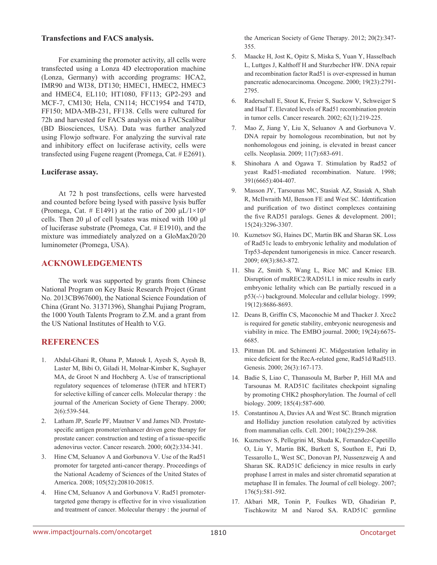#### **Transfections and FACS analysis.**

For examining the promoter activity, all cells were transfected using a Lonza 4D electroporation machine (Lonza, Germany) with according programs: HCA2, IMR90 and WI38, DT130; HMEC1, HMEC2, HMEC3 and HMEC4, EL110; HT1080, FF113; GP2-293 and MCF-7, CM130; Hela, CN114; HCC1954 and T47D, FF150; MDA-MB-231, FF138. Cells were cultured for 72h and harvested for FACS analysis on a FACScalibur (BD Biosciences, USA). Data was further analyzed using Flowjo software. For analyzing the survival rate and inhibitory effect on luciferase activity, cells were transfected using Fugene reagent (Promega, Cat. # E2691).

#### **Luciferase assay.**

At 72 h post transfections, cells were harvested and counted before being lysed with passive lysis buffer (Promega, Cat. # E1491) at the ratio of 200  $\mu$ L/1×10<sup>6</sup> cells. Then 20 μl of cell lysates was mixed with 100 μl of luciferase substrate (Promega, Cat. # E1910), and the mixture was immediately analyzed on a GloMax20/20 luminometer (Promega, USA).

# **ACKNOWLEDGEMENTS**

The work was supported by grants from Chinese National Program on Key Basic Research Project (Grant No. 2013CB967600), the National Science Foundation of China (Grant No. 31371396), Shanghai Pujiang Program, the 1000 Youth Talents Program to Z.M. and a grant from the US National Institutes of Health to V.G.

# **REFERENCES**

- 1. Abdul-Ghani R, Ohana P, Matouk I, Ayesh S, Ayesh B, Laster M, Bibi O, Giladi H, Molnar-Kimber K, Sughayer MA, de Groot N and Hochberg A. Use of transcriptional regulatory sequences of telomerase (hTER and hTERT) for selective killing of cancer cells. Molecular therapy : the journal of the American Society of Gene Therapy. 2000; 2(6):539-544.
- 2. Latham JP, Searle PF, Mautner V and James ND. Prostatespecific antigen promoter/enhancer driven gene therapy for prostate cancer: construction and testing of a tissue-specific adenovirus vector. Cancer research. 2000; 60(2):334-341.
- 3. Hine CM, Seluanov A and Gorbunova V. Use of the Rad51 promoter for targeted anti-cancer therapy. Proceedings of the National Academy of Sciences of the United States of America. 2008; 105(52):20810-20815.
- 4. Hine CM, Seluanov A and Gorbunova V. Rad51 promotertargeted gene therapy is effective for in vivo visualization and treatment of cancer. Molecular therapy : the journal of

the American Society of Gene Therapy. 2012; 20(2):347- 355.

- 5. Maacke H, Jost K, Opitz S, Miska S, Yuan Y, Hasselbach L, Luttges J, Kalthoff H and Sturzbecher HW. DNA repair and recombination factor Rad51 is over-expressed in human pancreatic adenocarcinoma. Oncogene. 2000; 19(23):2791- 2795.
- 6. Raderschall E, Stout K, Freier S, Suckow V, Schweiger S and Haaf T. Elevated levels of Rad51 recombination protein in tumor cells. Cancer research. 2002; 62(1):219-225.
- 7. Mao Z, Jiang Y, Liu X, Seluanov A and Gorbunova V. DNA repair by homologous recombination, but not by nonhomologous end joining, is elevated in breast cancer cells. Neoplasia. 2009; 11(7):683-691.
- 8. Shinohara A and Ogawa T. Stimulation by Rad52 of yeast Rad51-mediated recombination. Nature. 1998; 391(6665):404-407.
- 9. Masson JY, Tarsounas MC, Stasiak AZ, Stasiak A, Shah R, McIlwraith MJ, Benson FE and West SC. Identification and purification of two distinct complexes containing the five RAD51 paralogs. Genes & development. 2001; 15(24):3296-3307.
- 10. Kuznetsov SG, Haines DC, Martin BK and Sharan SK. Loss of Rad51c leads to embryonic lethality and modulation of Trp53-dependent tumorigenesis in mice. Cancer research. 2009; 69(3):863-872.
- 11. Shu Z, Smith S, Wang L, Rice MC and Kmiec EB. Disruption of muREC2/RAD51L1 in mice results in early embryonic lethality which can Be partially rescued in a p53(-/-) background. Molecular and cellular biology. 1999; 19(12):8686-8693.
- 12. Deans B, Griffin CS, Maconochie M and Thacker J. Xrcc2 is required for genetic stability, embryonic neurogenesis and viability in mice. The EMBO journal. 2000; 19(24):6675- 6685.
- 13. Pittman DL and Schimenti JC. Midgestation lethality in mice deficient for the RecA-related gene, Rad51d/Rad51l3. Genesis. 2000; 26(3):167-173.
- 14. Badie S, Liao C, Thanasoula M, Barber P, Hill MA and Tarsounas M. RAD51C facilitates checkpoint signaling by promoting CHK2 phosphorylation. The Journal of cell biology. 2009; 185(4):587-600.
- 15. Constantinou A, Davies AA and West SC. Branch migration and Holliday junction resolution catalyzed by activities from mammalian cells. Cell. 2001; 104(2):259-268.
- 16. Kuznetsov S, Pellegrini M, Shuda K, Fernandez-Capetillo O, Liu Y, Martin BK, Burkett S, Southon E, Pati D, Tessarollo L, West SC, Donovan PJ, Nussenzweig A and Sharan SK. RAD51C deficiency in mice results in early prophase I arrest in males and sister chromatid separation at metaphase II in females. The Journal of cell biology. 2007; 176(5):581-592.
- 17. Akbari MR, Tonin P, Foulkes WD, Ghadirian P, Tischkowitz M and Narod SA. RAD51C germline